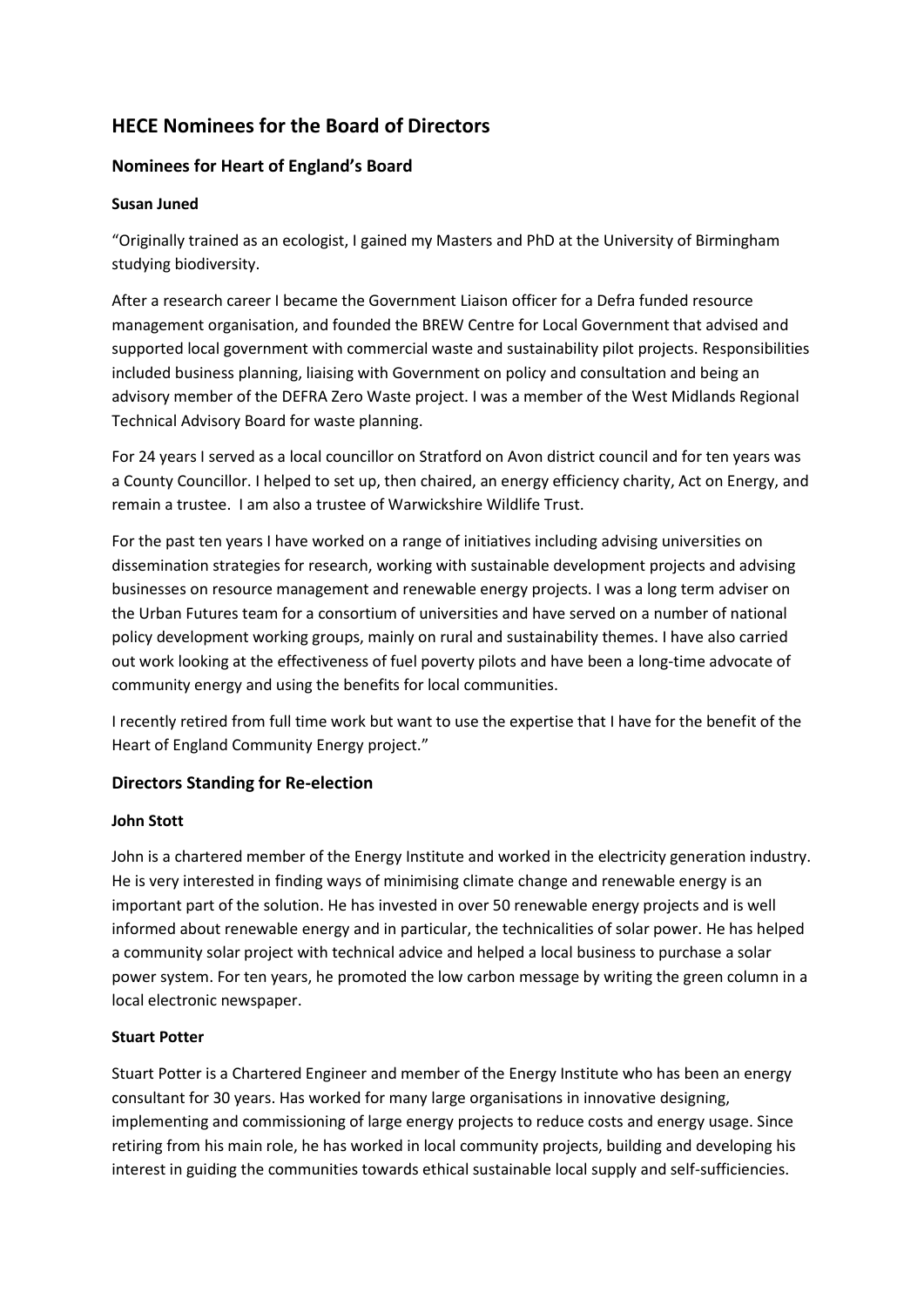# **HECE Nominees for the Board of Directors**

## **Nominees for Heart of England's Board**

## **Susan Juned**

"Originally trained as an ecologist, I gained my Masters and PhD at the University of Birmingham studying biodiversity.

After a research career I became the Government Liaison officer for a Defra funded resource management organisation, and founded the BREW Centre for Local Government that advised and supported local government with commercial waste and sustainability pilot projects. Responsibilities included business planning, liaising with Government on policy and consultation and being an advisory member of the DEFRA Zero Waste project. I was a member of the West Midlands Regional Technical Advisory Board for waste planning.

For 24 years I served as a local councillor on Stratford on Avon district council and for ten years was a County Councillor. I helped to set up, then chaired, an energy efficiency charity, Act on Energy, and remain a trustee. I am also a trustee of Warwickshire Wildlife Trust.

For the past ten years I have worked on a range of initiatives including advising universities on dissemination strategies for research, working with sustainable development projects and advising businesses on resource management and renewable energy projects. I was a long term adviser on the Urban Futures team for a consortium of universities and have served on a number of national policy development working groups, mainly on rural and sustainability themes. I have also carried out work looking at the effectiveness of fuel poverty pilots and have been a long-time advocate of community energy and using the benefits for local communities.

I recently retired from full time work but want to use the expertise that I have for the benefit of the Heart of England Community Energy project."

## **Directors Standing for Re-election**

## **John Stott**

John is a chartered member of the Energy Institute and worked in the electricity generation industry. He is very interested in finding ways of minimising climate change and renewable energy is an important part of the solution. He has invested in over 50 renewable energy projects and is well informed about renewable energy and in particular, the technicalities of solar power. He has helped a community solar project with technical advice and helped a local business to purchase a solar power system. For ten years, he promoted the low carbon message by writing the green column in a local electronic newspaper.

## **Stuart Potter**

Stuart Potter is a Chartered Engineer and member of the Energy Institute who has been an energy consultant for 30 years. Has worked for many large organisations in innovative designing, implementing and commissioning of large energy projects to reduce costs and energy usage. Since retiring from his main role, he has worked in local community projects, building and developing his interest in guiding the communities towards ethical sustainable local supply and self-sufficiencies.